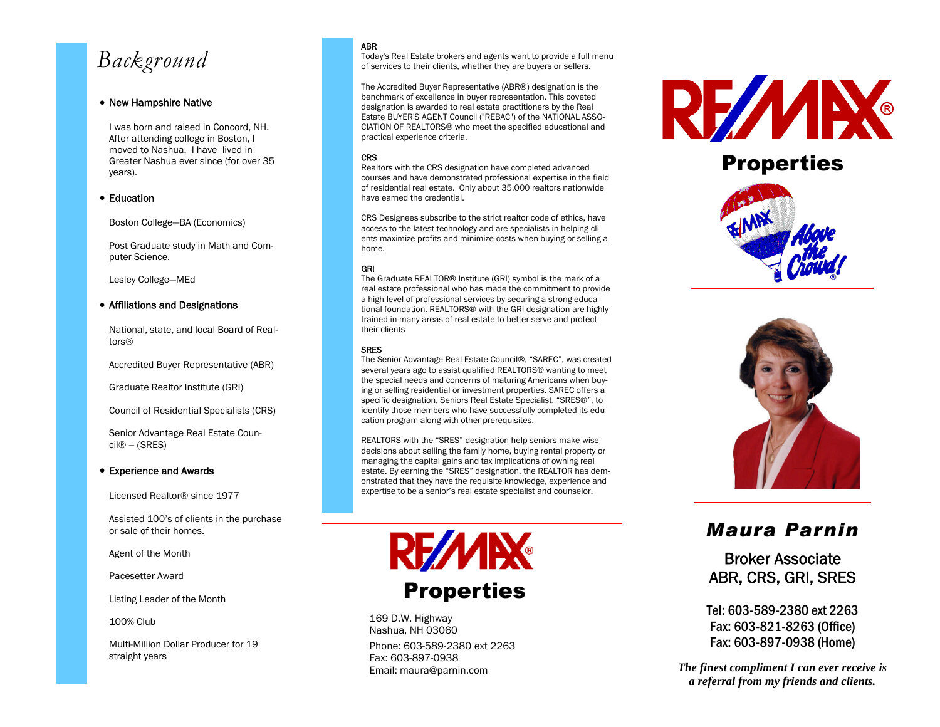# *Background*

#### • New Hampshire Native

I was born and raised in Concord, NH. After attending college in Boston, I moved to Nashua. I have lived in Greater Nashua ever since (for over 35 years).

#### **• Education**

Boston College—BA (Economics)

Post Graduate study in Math and Computer Science.

Lesley College—MEd

#### Affiliations and Designations

National, state, and local Board of Realtors®

Accredited Buyer Representative (ABR)

Graduate Realtor Institute (GRI)

Council of Residential Specialists (CRS)

Senior Advantage Real Estate Coun $cil@ - (SRES)$ 

#### Experience and Awards

Licensed Realtor<sup>®</sup> since 1977

Assisted 100's of clients in the purchase or sale of their homes.

Agent of the Month

Pacesetter Award

Listing Leader of the Month

100% Club

Multi-Million Dollar Producer for 19 straight years

#### ABR

Today's Real Estate brokers and agents want to provide a full menu of services to their clients, whether they are buyers or sellers.

The Accredited Buyer Representative (ABR®) designation is the benchmark of excellence in buyer representation. This coveted designation is awarded to real estate practitioners by the Real Estate BUYER'S AGENT Council ("REBAC") of the NATIONAL ASSO-CIATION OF REALTORS® who meet the specified educational and practical experience criteria.

#### **CRS**

Realtors with the CRS designation have completed advanced courses and have demonstrated professional expertise in the field of residential real estate. Only about 35,000 realtors nationwide have earned the credential.

CRS Designees subscribe to the strict realtor code of ethics, have access to the latest technology and are specialists in helping clients maximize profits and minimize costs when buying or selling a home.

#### GRI

The Graduate REALTOR® Institute (GRI) symbol is the mark of a real estate professional who has made the commitment to provide a high level of professional services by securing a strong educational foundation. REALTORS® with the GRI designation are highly trained in many areas of real estate to better serve and protect their clients

#### SRES

The Senior Advantage Real Estate Council®, "SAREC", was created several years ago to assist qualified REALTORS® wanting to meet the special needs and concerns of maturing Americans when buying or selling residential or investment properties. SAREC offers a specific designation, Seniors Real Estate Specialist, "SRES®", to identify those members who have successfully completed its education program along with other prerequisites.

REALTORS with the "SRES" designation help seniors make wise decisions about selling the family home, buying rental property or managing the capital gains and tax implications of owning real estate. By earning the "SRES" designation, the REALTOR has demonstrated that they have the requisite knowledge, experience and expertise to be a senior's real estate specialist and counselor.



169 D.W. Highway Nashua, NH 03060

Phone: 603-589-2380 ext 2263 Fax: 603-897-0938 Email: maura@parnin.com



## **Properties**





## *Maura Parnin*

Broker Associate ABR, CRS, GRI, SRES

Tel: 603-589-2380 ext 2263 Fax: 603-821-8263 (Office) Fax: 603-897-0938 (Home)

*The finest compliment I can ever receive is a referral from my friends and clients.*